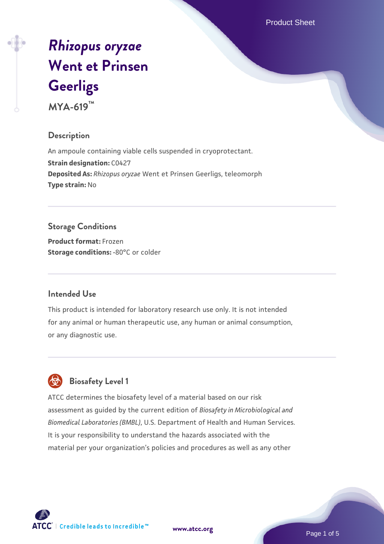Product Sheet

# *[Rhizopus oryzae](https://www.atcc.org/products/mya-619)* **[Went et Prinsen](https://www.atcc.org/products/mya-619) [Geerligs](https://www.atcc.org/products/mya-619)**

**MYA-619™**

# **Description**

An ampoule containing viable cells suspended in cryoprotectant. **Strain designation:** C0427 **Deposited As:** *Rhizopus oryzae* Went et Prinsen Geerligs, teleomorph **Type strain:** No

# **Storage Conditions**

**Product format:** Frozen **Storage conditions: -80°C** or colder

# **Intended Use**

This product is intended for laboratory research use only. It is not intended for any animal or human therapeutic use, any human or animal consumption, or any diagnostic use.



# **Biosafety Level 1**

ATCC determines the biosafety level of a material based on our risk assessment as guided by the current edition of *Biosafety in Microbiological and Biomedical Laboratories (BMBL)*, U.S. Department of Health and Human Services. It is your responsibility to understand the hazards associated with the material per your organization's policies and procedures as well as any other



**[www.atcc.org](http://www.atcc.org)**

Page 1 of 5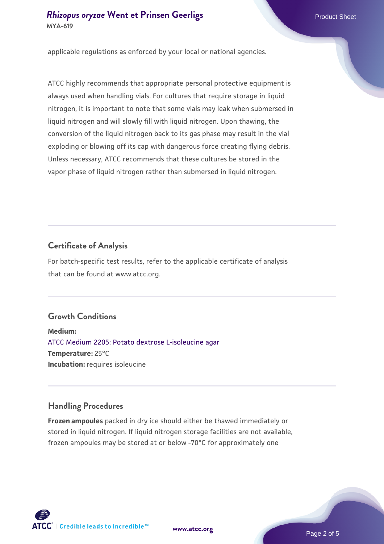applicable regulations as enforced by your local or national agencies.

ATCC highly recommends that appropriate personal protective equipment is always used when handling vials. For cultures that require storage in liquid nitrogen, it is important to note that some vials may leak when submersed in liquid nitrogen and will slowly fill with liquid nitrogen. Upon thawing, the conversion of the liquid nitrogen back to its gas phase may result in the vial exploding or blowing off its cap with dangerous force creating flying debris. Unless necessary, ATCC recommends that these cultures be stored in the vapor phase of liquid nitrogen rather than submersed in liquid nitrogen.

# **Certificate of Analysis**

For batch-specific test results, refer to the applicable certificate of analysis that can be found at www.atcc.org.

# **Growth Conditions**

**Medium:**  [ATCC Medium 2205: Potato dextrose L-isoleucine agar](https://www.atcc.org/-/media/product-assets/documents/microbial-media-formulations/atcc-medium-2205.pdf?rev=90cda6f7e946482fb13eabf0fd2fc083) **Temperature:** 25°C **Incubation:** requires isoleucine

# **Handling Procedures**

**Frozen ampoules** packed in dry ice should either be thawed immediately or stored in liquid nitrogen. If liquid nitrogen storage facilities are not available, frozen ampoules may be stored at or below -70°C for approximately one

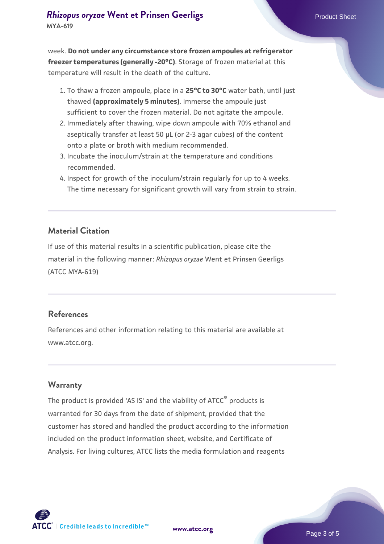**MYA-619**

week. **Do not under any circumstance store frozen ampoules at refrigerator freezer temperatures (generally -20°C)**. Storage of frozen material at this temperature will result in the death of the culture.

- 1. To thaw a frozen ampoule, place in a **25°C to 30°C** water bath, until just thawed **(approximately 5 minutes)**. Immerse the ampoule just sufficient to cover the frozen material. Do not agitate the ampoule.
- 2. Immediately after thawing, wipe down ampoule with 70% ethanol and aseptically transfer at least 50 µL (or 2-3 agar cubes) of the content onto a plate or broth with medium recommended.
- Incubate the inoculum/strain at the temperature and conditions 3. recommended.
- 4. Inspect for growth of the inoculum/strain regularly for up to 4 weeks. The time necessary for significant growth will vary from strain to strain.

#### **Material Citation**

If use of this material results in a scientific publication, please cite the material in the following manner: *Rhizopus oryzae* Went et Prinsen Geerligs (ATCC MYA-619)

#### **References**

References and other information relating to this material are available at www.atcc.org.

#### **Warranty**

The product is provided 'AS IS' and the viability of ATCC® products is warranted for 30 days from the date of shipment, provided that the customer has stored and handled the product according to the information included on the product information sheet, website, and Certificate of Analysis. For living cultures, ATCC lists the media formulation and reagents

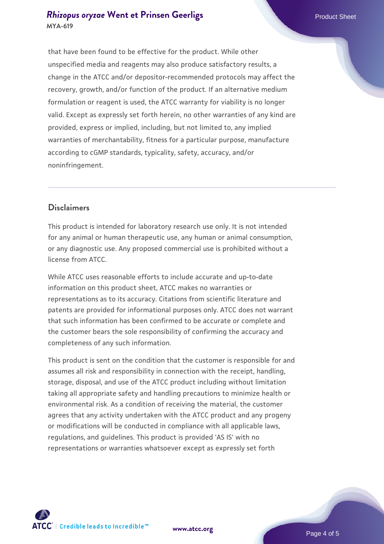# *[Rhizopus oryzae](https://www.atcc.org/products/mya-619)* [Went et Prinsen Geerligs](https://www.atcc.org/products/mya-619) **Product Sheet** Product Sheet **MYA-619**

that have been found to be effective for the product. While other unspecified media and reagents may also produce satisfactory results, a change in the ATCC and/or depositor-recommended protocols may affect the recovery, growth, and/or function of the product. If an alternative medium formulation or reagent is used, the ATCC warranty for viability is no longer valid. Except as expressly set forth herein, no other warranties of any kind are provided, express or implied, including, but not limited to, any implied warranties of merchantability, fitness for a particular purpose, manufacture according to cGMP standards, typicality, safety, accuracy, and/or noninfringement.

# **Disclaimers**

This product is intended for laboratory research use only. It is not intended for any animal or human therapeutic use, any human or animal consumption, or any diagnostic use. Any proposed commercial use is prohibited without a license from ATCC.

While ATCC uses reasonable efforts to include accurate and up-to-date information on this product sheet, ATCC makes no warranties or representations as to its accuracy. Citations from scientific literature and patents are provided for informational purposes only. ATCC does not warrant that such information has been confirmed to be accurate or complete and the customer bears the sole responsibility of confirming the accuracy and completeness of any such information.

This product is sent on the condition that the customer is responsible for and assumes all risk and responsibility in connection with the receipt, handling, storage, disposal, and use of the ATCC product including without limitation taking all appropriate safety and handling precautions to minimize health or environmental risk. As a condition of receiving the material, the customer agrees that any activity undertaken with the ATCC product and any progeny or modifications will be conducted in compliance with all applicable laws, regulations, and guidelines. This product is provided 'AS IS' with no representations or warranties whatsoever except as expressly set forth



**[www.atcc.org](http://www.atcc.org)**

Page 4 of 5